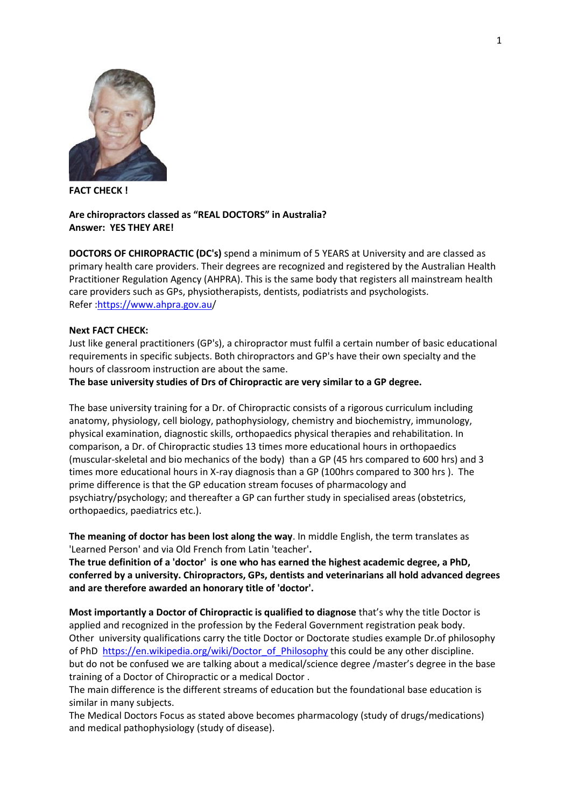

**FACT CHECK !**

## **Are chiropractors classed as "REAL DOCTORS" in Australia? Answer: YES THEY ARE!**

**DOCTORS OF CHIROPRACTIC (DC's)** spend a minimum of 5 YEARS at University and are classed as primary health care providers. Their degrees are recognized and registered by the Australian Health Practitioner Regulation Agency (AHPRA). This is the same body that registers all mainstream health care providers such as GPs, physiotherapists, dentists, podiatrists and psychologists. Refer [:https://www.ahpra.gov.au/](https://nam04.safelinks.protection.outlook.com/?url=https%3A%2F%2Fwww.ahpra.gov.au&data=02%7C01%7C%7C198350833e6147848df108d7251510c7%7C84df9e7fe9f640afb435aaaaaaaaaaaa%7C1%7C0%7C637018644710449743&sdata=5lBrPu2WX2DBf4hsu%2FbTZ8ZQGgye5m73xTPdfEouBdk%3D&reserved=0)

### **Next FACT CHECK:**

Just like general practitioners (GP's), a chiropractor must fulfil a certain number of basic educational requirements in specific subjects. Both chiropractors and GP's have their own specialty and the hours of classroom instruction are about the same.

#### **The base university studies of Drs of Chiropractic are very similar to a GP degree.**

The base university training for a Dr. of Chiropractic consists of a rigorous curriculum including anatomy, physiology, cell biology, pathophysiology, chemistry and biochemistry, immunology, physical examination, diagnostic skills, orthopaedics physical therapies and rehabilitation. In comparison, a Dr. of Chiropractic studies 13 times more educational hours in orthopaedics (muscular-skeletal and bio mechanics of the body) than a GP (45 hrs compared to 600 hrs) and 3 times more educational hours in X-ray diagnosis than a GP (100hrs compared to 300 hrs ). The prime difference is that the GP education stream focuses of pharmacology and psychiatry/psychology; and thereafter a GP can further study in specialised areas (obstetrics, orthopaedics, paediatrics etc.).

**The meaning of doctor has been lost along the way**. In middle English, the term translates as 'Learned Person' and via Old French from Latin 'teacher'**.** 

**The true definition of a 'doctor' is one who has earned the highest academic degree, a PhD, conferred by a university. Chiropractors, GPs, dentists and veterinarians all hold advanced degrees and are therefore awarded an honorary title of 'doctor'.**

**Most importantly a Doctor of Chiropractic is qualified to diagnose** that's why the title Doctor is applied and recognized in the profession by the Federal Government registration peak body. Other university qualifications carry the title Doctor or Doctorate studies example Dr.of philosophy of PhD [https://en.wikipedia.org/wiki/Doctor\\_of\\_Philosophy](https://nam04.safelinks.protection.outlook.com/?url=https%3A%2F%2Fen.wikipedia.org%2Fwiki%2FDoctor_of_Philosophy&data=02%7C01%7C%7C198350833e6147848df108d7251510c7%7C84df9e7fe9f640afb435aaaaaaaaaaaa%7C1%7C0%7C637018644710459727&sdata=fPNyNX4CR4tC2afsG3rQyHQwSTR3X3%2BN%2BvlSzsVhwUY%3D&reserved=0) this could be any other discipline. but do not be confused we are talking about a medical/science degree /master's degree in the base training of a Doctor of Chiropractic or a medical Doctor .

The main difference is the different streams of education but the foundational base education is similar in many subjects.

The Medical Doctors Focus as stated above becomes pharmacology (study of drugs/medications) and medical pathophysiology (study of disease).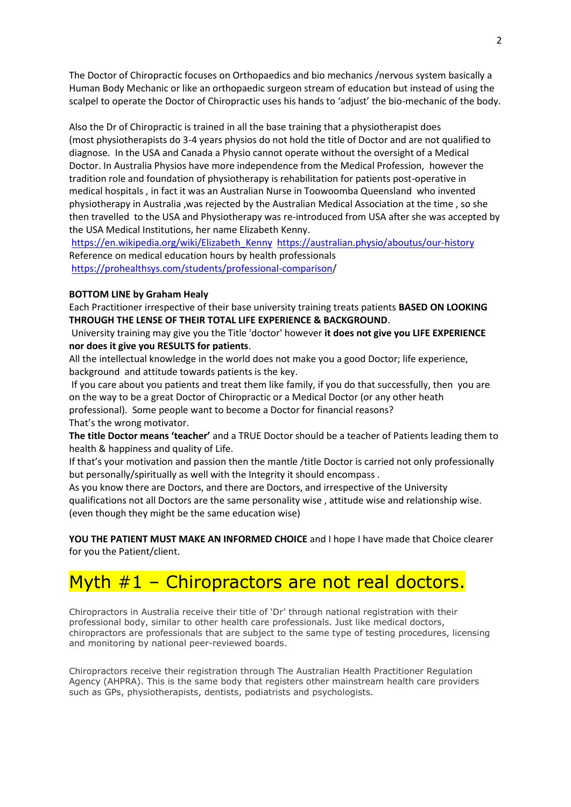The Doctor of Chiropractic focuses on Orthopaedics and bio mechanics /nervous system basically a Human Body Mechanic or like an orthopaedic surgeon stream of education but instead of using the scalpel to operate the Doctor of Chiropractic uses his hands to 'adjust' the bio-mechanic of the body.

Also the Dr of Chiropractic is trained in all the base training that a physiotherapist does (most physiotherapists do 3-4 years physios do not hold the title of Doctor and are not qualified to diagnose. In the USA and Canada a Physio cannot operate without the oversight of a Medical Doctor. In Australia Physios have more independence from the Medical Profession, however the tradition role and foundation of physiotherapy is rehabilitation for patients post-operative in medical hospitals , in fact it was an Australian Nurse in Toowoomba Queensland who invented physiotherapy in Australia ,was rejected by the Australian Medical Association at the time , so she then travelled to the USA and Physiotherapy was re-introduced from USA after she was accepted by the USA Medical Institutions, her name Elizabeth Kenny.

[https://en.wikipedia.org/wiki/Elizabeth\\_Kenny](https://nam04.safelinks.protection.outlook.com/?url=https%3A%2F%2Fen.wikipedia.org%2Fwiki%2FElizabeth_Kenny&data=02%7C01%7C%7C198350833e6147848df108d7251510c7%7C84df9e7fe9f640afb435aaaaaaaaaaaa%7C1%7C0%7C637018644710469747&sdata=cagMGEsvO6Deoub7itLWvwsiL5wXnY0IO0RN9QRnzdo%3D&reserved=0) [https://australian.physio/aboutus/our-history](https://nam04.safelinks.protection.outlook.com/?url=https%3A%2F%2Faustralian.physio%2Faboutus%2Four-history&data=02%7C01%7C%7C198350833e6147848df108d7251510c7%7C84df9e7fe9f640afb435aaaaaaaaaaaa%7C1%7C0%7C637018644710479763&sdata=V55Csn6brhbj7So76Ztrx9thaqDrl%2FD%2BPiVWblXRYX4%3D&reserved=0)  Reference on medical education hours by health professionals [https://prohealthsys.com/students/professional-comparison/](https://nam04.safelinks.protection.outlook.com/?url=https%3A%2F%2Fprohealthsys.com%2Fstudents%2Fprofessional-comparison&data=02%7C01%7C%7C198350833e6147848df108d7251510c7%7C84df9e7fe9f640afb435aaaaaaaaaaaa%7C1%7C0%7C637018644710489779&sdata=OWvf63G6ydOAMeP4mwcI5aC9iaFG6rOLvZrN0IShj1o%3D&reserved=0)

### **BOTTOM LINE by Graham Healy**

Each Practitioner irrespective of their base university training treats patients **BASED ON LOOKING THROUGH THE LENSE OF THEIR TOTAL LIFE EXPERIENCE & BACKGROUND**.

University training may give you the Title 'doctor' however **it does not give you LIFE EXPERIENCE nor does it give you RESULTS for patients**.

All the intellectual knowledge in the world does not make you a good Doctor; life experience, background and attitude towards patients is the key.

If you care about you patients and treat them like family, if you do that successfully, then you are on the way to be a great Doctor of Chiropractic or a Medical Doctor (or any other heath professional). Some people want to become a Doctor for financial reasons? That's the wrong motivator.

**The title Doctor means 'teacher'** and a TRUE Doctor should be a teacher of Patients leading them to health & happiness and quality of Life.

If that's your motivation and passion then the mantle /title Doctor is carried not only professionally but personally/spiritually as well with the Integrity it should encompass .

As you know there are Doctors, and there are Doctors, and irrespective of the University qualifications not all Doctors are the same personality wise , attitude wise and relationship wise. (even though they might be the same education wise)

**YOU THE PATIENT MUST MAKE AN INFORMED CHOICE** and I hope I have made that Choice clearer for you the Patient/client.

# Myth #1 – Chiropractors are not real doctors.

Chiropractors in Australia receive their title of 'Dr' through national registration with their professional body, similar to other health care professionals. Just like medical doctors, chiropractors are professionals that are subject to the same type of testing procedures, licensing and monitoring by national peer-reviewed boards.

Chiropractors receive their registration through The Australian Health Practitioner Regulation Agency (AHPRA). This is the same body that registers other mainstream health care providers such as GPs, physiotherapists, dentists, podiatrists and psychologists.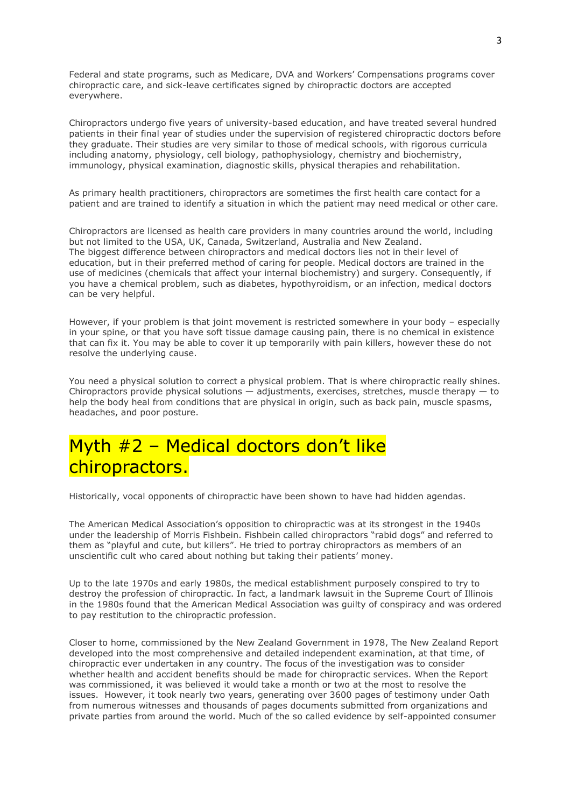Federal and state programs, such as Medicare, DVA and Workers' Compensations programs cover chiropractic care, and sick-leave certificates signed by chiropractic doctors are accepted everywhere.

Chiropractors undergo five years of university-based education, and have treated several hundred patients in their final year of studies under the supervision of registered chiropractic doctors before they graduate. Their studies are very similar to those of medical schools, with rigorous curricula including anatomy, physiology, cell biology, pathophysiology, chemistry and biochemistry, immunology, physical examination, diagnostic skills, physical therapies and rehabilitation.

As primary health practitioners, chiropractors are sometimes the first health care contact for a patient and are trained to identify a situation in which the patient may need medical or other care.

Chiropractors are licensed as health care providers in many countries around the world, including but not limited to the USA, UK, Canada, Switzerland, Australia and New Zealand. The biggest difference between chiropractors and medical doctors lies not in their level of education, but in their preferred method of caring for people. Medical doctors are trained in the use of medicines (chemicals that affect your internal biochemistry) and surgery. Consequently, if you have a chemical problem, such as diabetes, hypothyroidism, or an infection, medical doctors can be very helpful.

However, if your problem is that joint movement is restricted somewhere in your body – especially in your spine, or that you have soft tissue damage causing pain, there is no chemical in existence that can fix it. You may be able to cover it up temporarily with pain killers, however these do not resolve the underlying cause.

You need a physical solution to correct a physical problem. That is where chiropractic really shines. Chiropractors provide physical solutions  $-$  adjustments, exercises, stretches, muscle therapy  $-$  to help the body heal from conditions that are physical in origin, such as back pain, muscle spasms, headaches, and poor posture.

# Myth #2 – Medical doctors don't like chiropractors.

Historically, vocal opponents of chiropractic have been shown to have had hidden agendas.

The American Medical Association's opposition to chiropractic was at its strongest in the 1940s under the leadership of Morris Fishbein. Fishbein called chiropractors "rabid dogs" and referred to them as "playful and cute, but killers". He tried to portray chiropractors as members of an unscientific cult who cared about nothing but taking their patients' money.

Up to the late 1970s and early 1980s, the medical establishment purposely conspired to try to destroy the profession of chiropractic. In fact, a landmark lawsuit in the Supreme Court of Illinois in the 1980s found that the American Medical Association was guilty of conspiracy and was ordered to pay restitution to the chiropractic profession.

Closer to home, commissioned by the New Zealand Government in 1978, The New Zealand Report developed into the most comprehensive and detailed independent examination, at that time, of chiropractic ever undertaken in any country. The focus of the investigation was to consider whether health and accident benefits should be made for chiropractic services. When the Report was commissioned, it was believed it would take a month or two at the most to resolve the issues. However, it took nearly two years, generating over 3600 pages of testimony under Oath from numerous witnesses and thousands of pages documents submitted from organizations and private parties from around the world. Much of the so called evidence by self-appointed consumer